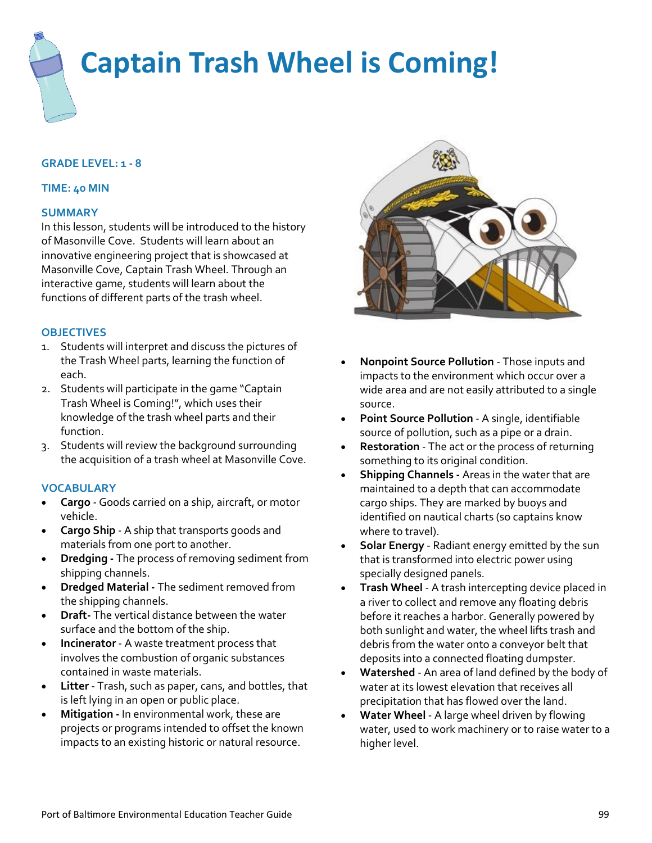

#### **GRADE LEVEL: 1 - 8**

#### **TIME: 40 MIN**

#### **SUMMARY**

In this lesson, students will be introduced to the history of Masonville Cove. Students will learn about an innovative engineering project that is showcased at Masonville Cove, Captain Trash Wheel. Through an interactive game, students will learn about the functions of different parts of the trash wheel.

#### **OBJECTIVES**

- 1. Students will interpret and discuss the pictures of the Trash Wheel parts, learning the function of each.
- 2. Students will participate in the game "Captain Trash Wheel is Coming!", which uses their knowledge of the trash wheel parts and their function.
- 3. Students will review the background surrounding the acquisition of a trash wheel at Masonville Cove.

## **VOCABULARY**

- **Cargo**  Goods carried on a ship, aircraft, or motor vehicle.
- **Cargo Ship**  A ship that transports goods and materials from one port to another.
- **Dredging -** The process of removing sediment from shipping channels.
- **Dredged Material -** The sediment removed from the shipping channels.
- **Draft-** The vertical distance between the water surface and the bottom of the ship.
- **Incinerator** A waste treatment process that involves the combustion of organic substances contained in waste materials.
- **Litter**  Trash, such as paper, cans, and bottles, that is left lying in an open or public place.
- **Mitigation -** In environmental work, these are projects or programs intended to offset the known impacts to an existing historic or natural resource.



- **Nonpoint Source Pollution**  Those inputs and impacts to the environment which occur over a wide area and are not easily attributed to a single source.
- **Point Source Pollution**  A single, identifiable source of pollution, such as a pipe or a drain.
- **Restoration**  The act or the process of returning something to its original condition.
- **Shipping Channels -** Areas in the water that are maintained to a depth that can accommodate cargo ships. They are marked by buoys and identified on nautical charts (so captains know where to travel).
- **Solar Energy**  Radiant energy emitted by the sun that is transformed into electric power using specially designed panels.
- **Trash Wheel**  A trash intercepting device placed in a river to collect and remove any floating debris before it reaches a harbor. Generally powered by both sunlight and water, the wheel lifts trash and debris from the water onto a conveyor belt that deposits into a connected floating dumpster.
- **Watershed**  An area of land defined by the body of water at its lowest elevation that receives all precipitation that has flowed over the land.
- **Water Wheel**  A large wheel driven by flowing water, used to work machinery or to raise water to a higher level.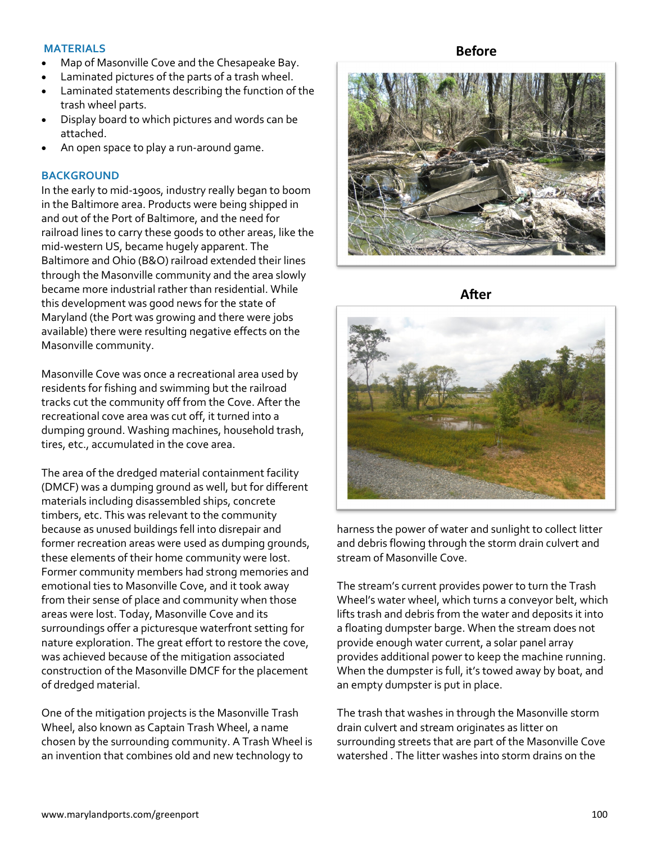## **MATERIALS**

- Map of Masonville Cove and the Chesapeake Bay.
- Laminated pictures of the parts of a trash wheel.
- Laminated statements describing the function of the trash wheel parts.
- Display board to which pictures and words can be attached.
- An open space to play a run-around game.

#### **BACKGROUND**

In the early to mid-1900s, industry really began to boom in the Baltimore area. Products were being shipped in and out of the Port of Baltimore, and the need for railroad lines to carry these goods to other areas, like the mid-western US, became hugely apparent. The Baltimore and Ohio (B&O) railroad extended their lines through the Masonville community and the area slowly became more industrial rather than residential. While this development was good news for the state of Maryland (the Port was growing and there were jobs available) there were resulting negative effects on the Masonville community.

Masonville Cove was once a recreational area used by residents for fishing and swimming but the railroad tracks cut the community off from the Cove. After the recreational cove area was cut off, it turned into a dumping ground. Washing machines, household trash, tires, etc., accumulated in the cove area.

The area of the dredged material containment facility (DMCF) was a dumping ground as well, but for different materials including disassembled ships, concrete timbers, etc. This was relevant to the community because as unused buildings fell into disrepair and former recreation areas were used as dumping grounds, these elements of their home community were lost. Former community members had strong memories and emotional ties to Masonville Cove, and it took away from their sense of place and community when those areas were lost. Today, Masonville Cove and its surroundings offer a picturesque waterfront setting for nature exploration. The great effort to restore the cove, was achieved because of the mitigation associated construction of the Masonville DMCF for the placement of dredged material.

One of the mitigation projects is the Masonville Trash Wheel, also known as Captain Trash Wheel, a name chosen by the surrounding community. A Trash Wheel is an invention that combines old and new technology to

# **Before**



**After**



harness the power of water and sunlight to collect litter and debris flowing through the storm drain culvert and stream of Masonville Cove.

The stream's current provides power to turn the Trash Wheel's water wheel, which turns a conveyor belt, which lifts trash and debris from the water and deposits it into a floating dumpster barge. When the stream does not provide enough water current, a solar panel array provides additional power to keep the machine running. When the dumpster is full, it's towed away by boat, and an empty dumpster is put in place.

The trash that washes in through the Masonville storm drain culvert and stream originates as litter on surrounding streets that are part of the Masonville Cove watershed . The litter washes into storm drains on the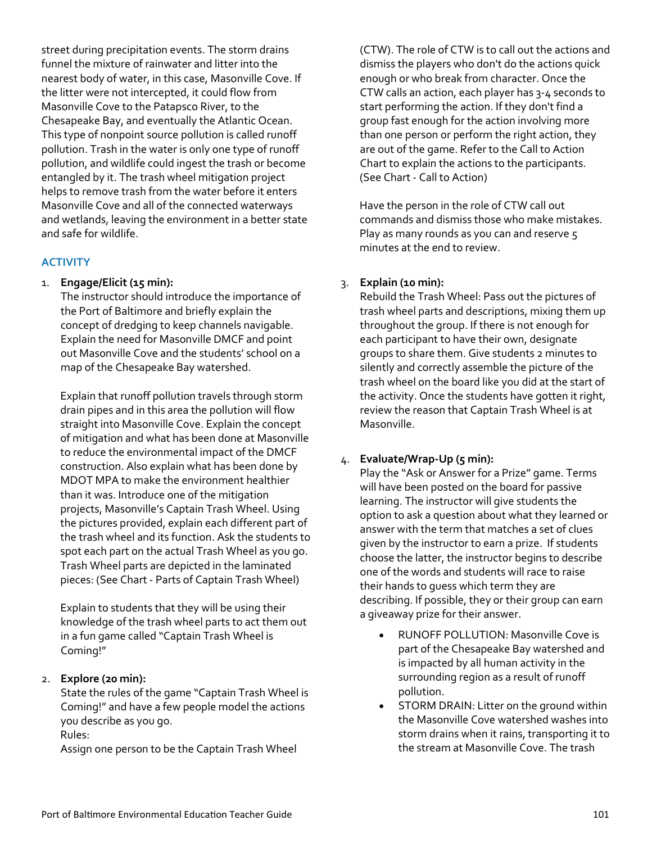street during precipitation events. The storm drains funnel the mixture of rainwater and litter into the nearest body of water, in this case, Masonville Cove. If the litter were not intercepted, it could flow from Masonville Cove to the Patapsco River, to the Chesapeake Bay, and eventually the Atlantic Ocean. This type of nonpoint source pollution is called runoff pollution. Trash in the water is only one type of runoff pollution, and wildlife could ingest the trash or become entangled by it. The trash wheel mitigation project helps to remove trash from the water before it enters Masonville Cove and all of the connected waterways and wetlands, leaving the environment in a better state and safe for wildlife.

# **ACTIVITY**

## 1. **Engage/Elicit (15 min):**

The instructor should introduce the importance of the Port of Baltimore and briefly explain the concept of dredging to keep channels navigable. Explain the need for Masonville DMCF and point out Masonville Cove and the students' school on a map of the Chesapeake Bay watershed.

Explain that runoff pollution travels through storm drain pipes and in this area the pollution will flow straight into Masonville Cove. Explain the concept of mitigation and what has been done at Masonville to reduce the environmental impact of the DMCF construction. Also explain what has been done by MDOT MPA to make the environment healthier than it was. Introduce one of the mitigation projects, Masonville's Captain Trash Wheel. Using the pictures provided, explain each different part of the trash wheel and its function. Ask the students to spot each part on the actual Trash Wheel as you go. Trash Wheel parts are depicted in the laminated pieces: (See Chart - Parts of Captain Trash Wheel)

Explain to students that they will be using their knowledge of the trash wheel parts to act them out in a fun game called "Captain Trash Wheel is Coming!"

## 2. **Explore (20 min):**

State the rules of the game "Captain Trash Wheel is Coming!" and have a few people model the actions you describe as you go. Rules:

Assign one person to be the Captain Trash Wheel

(CTW). The role of CTW is to call out the actions and dismiss the players who don't do the actions quick enough or who break from character. Once the CTW calls an action, each player has 3-4 seconds to start performing the action. If they don't find a group fast enough for the action involving more than one person or perform the right action, they are out of the game. Refer to the Call to Action Chart to explain the actions to the participants. (See Chart - Call to Action)

Have the person in the role of CTW call out commands and dismiss those who make mistakes. Play as many rounds as you can and reserve 5 minutes at the end to review.

# 3. **Explain (10 min):**

Rebuild the Trash Wheel: Pass out the pictures of trash wheel parts and descriptions, mixing them up throughout the group. If there is not enough for each participant to have their own, designate groups to share them. Give students 2 minutes to silently and correctly assemble the picture of the trash wheel on the board like you did at the start of the activity. Once the students have gotten it right, review the reason that Captain Trash Wheel is at Masonville.

# 4. **Evaluate/Wrap-Up (5 min):**

Play the "Ask or Answer for a Prize" game. Terms will have been posted on the board for passive learning. The instructor will give students the option to ask a question about what they learned or answer with the term that matches a set of clues given by the instructor to earn a prize. If students choose the latter, the instructor begins to describe one of the words and students will race to raise their hands to guess which term they are describing. If possible, they or their group can earn a giveaway prize for their answer.

- RUNOFF POLLUTION: Masonville Cove is part of the Chesapeake Bay watershed and is impacted by all human activity in the surrounding region as a result of runoff pollution.
- STORM DRAIN: Litter on the ground within the Masonville Cove watershed washes into storm drains when it rains, transporting it to the stream at Masonville Cove. The trash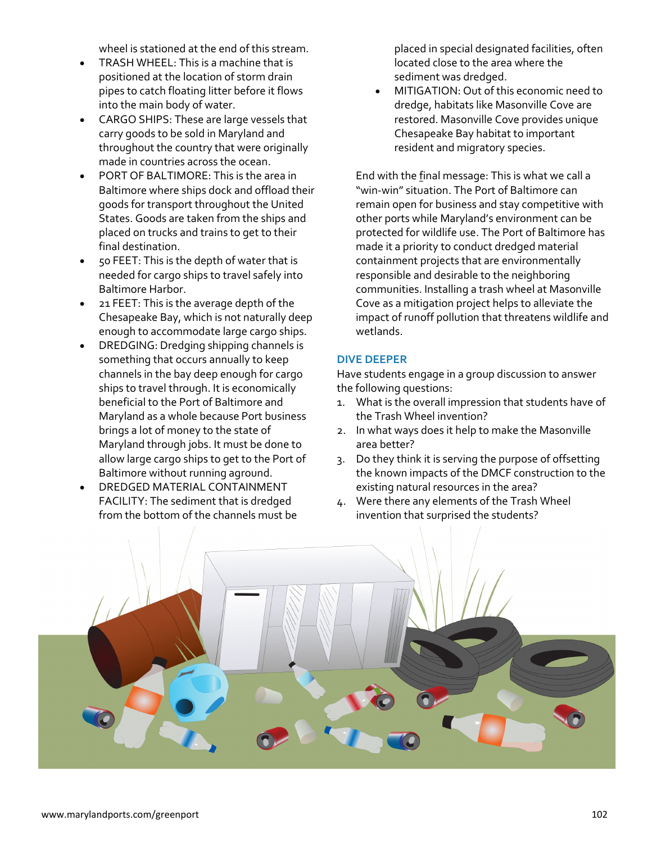wheel is stationed at the end of this stream.

- TRASH WHEEL: This is a machine that is positioned at the location of storm drain pipes to catch floating litter before it flows into the main body of water.
- CARGO SHIPS: These are large vessels that carry goods to be sold in Maryland and throughout the country that were originally made in countries across the ocean.
- PORT OF BALTIMORE: This is the area in Baltimore where ships dock and offload their goods for transport throughout the United States. Goods are taken from the ships and placed on trucks and trains to get to their final destination.
- 50 FEET: This is the depth of water that is needed for cargo ships to travel safely into Baltimore Harbor.
- 21 FEET: This is the average depth of the Chesapeake Bay, which is not naturally deep enough to accommodate large cargo ships.
- DREDGING: Dredging shipping channels is something that occurs annually to keep channels in the bay deep enough for cargo ships to travel through. It is economically beneficial to the Port of Baltimore and Maryland as a whole because Port business brings a lot of money to the state of Maryland through jobs. It must be done to allow large cargo ships to get to the Port of Baltimore without running aground.
- DREDGED MATERIAL CONTAINMENT FACILITY: The sediment that is dredged from the bottom of the channels must be

placed in special designated facilities, often located close to the area where the sediment was dredged.

• MITIGATION: Out of this economic need to dredge, habitats like Masonville Cove are restored. Masonville Cove provides unique Chesapeake Bay habitat to important resident and migratory species.

End with the final message: This is what we call a "win-win" situation. The Port of Baltimore can remain open for business and stay competitive with other ports while Maryland's environment can be protected for wildlife use. The Port of Baltimore has made it a priority to conduct dredged material containment projects that are environmentally responsible and desirable to the neighboring communities. Installing a trash wheel at Masonville Cove as a mitigation project helps to alleviate the impact of runoff pollution that threatens wildlife and wetlands.

# **DIVE DEEPER**

Have students engage in a group discussion to answer the following questions:

- 1. What is the overall impression that students have of the Trash Wheel invention?
- 2. In what ways does it help to make the Masonville area better?
- 3. Do they think it is serving the purpose of offsetting the known impacts of the DMCF construction to the existing natural resources in the area?
- 4. Were there any elements of the Trash Wheel invention that surprised the students?

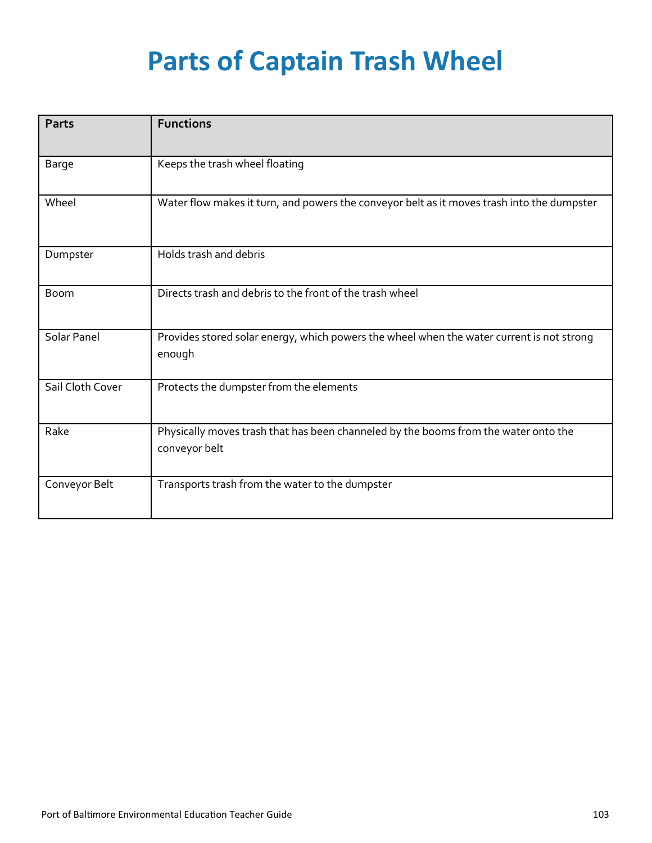# **Parts of Captain Trash Wheel**

| <b>Parts</b>       | <b>Functions</b>                                                                                     |
|--------------------|------------------------------------------------------------------------------------------------------|
| Barge              | Keeps the trash wheel floating                                                                       |
| Wheel              | Water flow makes it turn, and powers the conveyor belt as it moves trash into the dumpster           |
| Dumpster           | Holds trash and debris                                                                               |
| Boom               | Directs trash and debris to the front of the trash wheel                                             |
| <b>Solar Panel</b> | Provides stored solar energy, which powers the wheel when the water current is not strong<br>enough  |
| Sail Cloth Cover   | Protects the dumpster from the elements                                                              |
| Rake               | Physically moves trash that has been channeled by the booms from the water onto the<br>conveyor belt |
| Conveyor Belt      | Transports trash from the water to the dumpster                                                      |